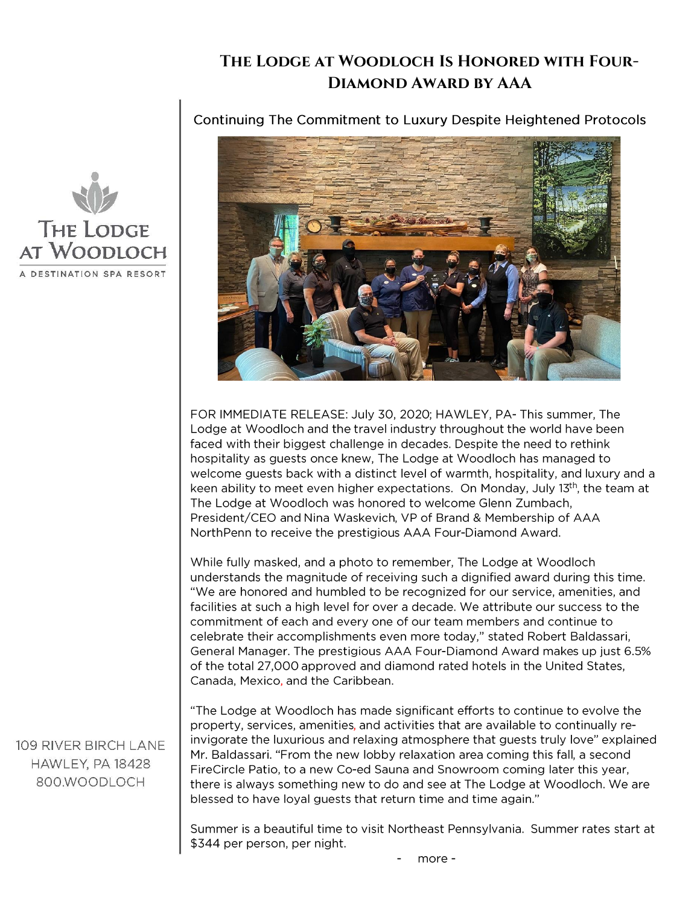## **The Lodge at Woodloch Is Honored with Four-Diamond Award by AAA**

**Continuing The Commitment to Luxury Despite Heightened Protocols** 



FOR IMMEDIATE RELEASE: July 30, 2020; HAWLEY, PA- This summer, The Lodge at Woodloch and the travel industry throughout the world have been faced with their biggest challenge in decades. Despite the need to rethink hospitality as guests once knew, The Lodge at Woodloch has managed to welcome guests back with a distinct level of warmth, hospitality, and luxury and a keen ability to meet even higher expectations. On Monday, July  $13<sup>th</sup>$ , the team at The Lodge at Woodloch was honored to welcome Glenn Zumbach, President/CEO and Nina Waskevich, VP of Brand & Membership of AAA NorthPenn to receive the prestigious AAA Four-Diamond Award.

While fully masked, and a photo to remember, The Lodge at Woodloch understands the magnitude of receiving such a dignified award during this time. "We are honored and humbled to be recognized for our service, amenities, and facilities at such a high level for over a decade. We attribute our success to the commitment of each and every one of our team members and continue to celebrate their accomplishments even more today," stated Robert Baldassari, General Manager. The prestigious AAA Four-Diamond Award makes up just 6.5% of the total 27,000 approved and diamond rated hotels in the United States, Canada, Mexico, and the Caribbean.

"The Lodge at Woodloch has made significant efforts to continue to evolve the property, services, amenities, and activities that are available to continually reinvigorate the luxurious and relaxing atmosphere that guests truly love" explained Mr. Baldassari. "From the new lobby relaxation area coming this fall, a second FireCircle Patio, to a new Co-ed Sauna and Snowroom coming later this year, there is always something new to do and see at The Lodge at Woodloch. We are blessed to have loyal guests that return time and time again."

Summer is a beautiful time to visit Northeast Pennsylvania. Summer rates start at \$344 per person, per night.



109 RIVER BIRCH LANE HAWLEY, PA 18428 800.WOODLOCH